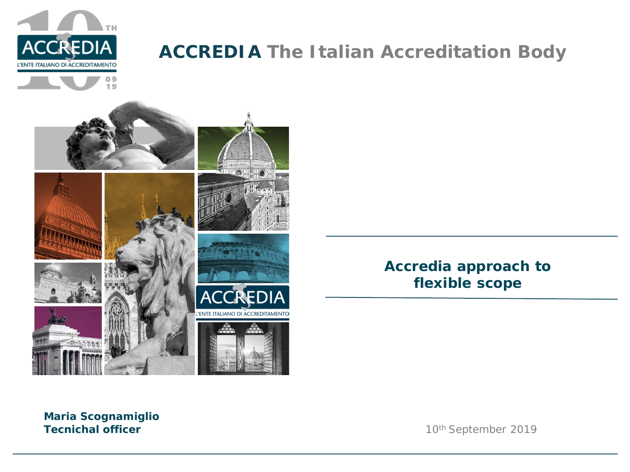

## **ACCREDIA The Italian Accreditation Body**



#### *Accredia approach to flexible scope*

**Maria Scognamiglio Tecnichal officer** 10<sup>th</sup> September 2019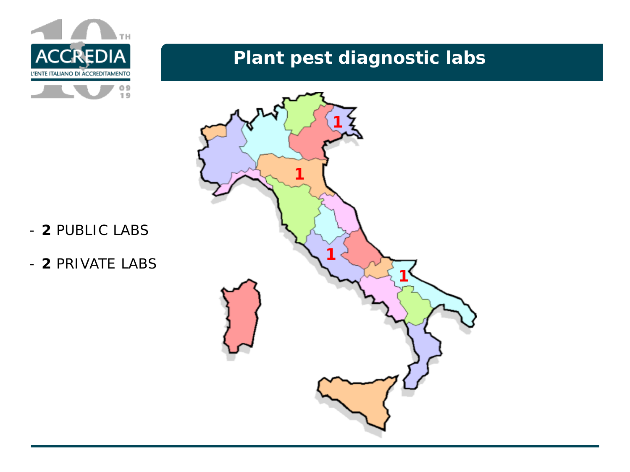

## **Plant pest diagnostic labs**



- **2** PUBLIC LABS
- **2** PRIVATE LABS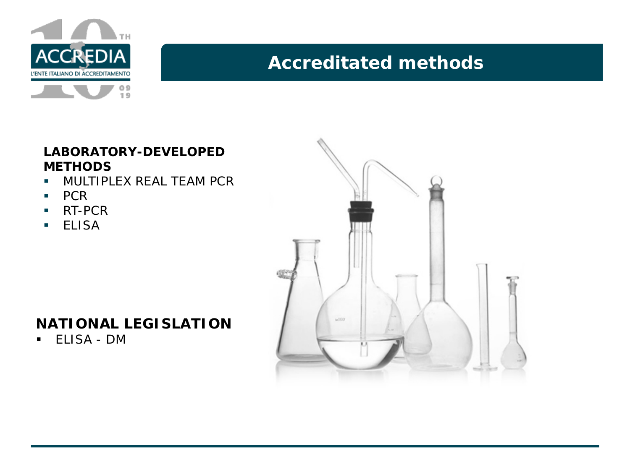

## **Accreditated methods:**

#### **LABORATORY-DEVELOPED METHODS**

- **MULTIPLEX REAL TEAM PCR**
- $\blacksquare$  PCR
- **RT-PCR**
- **ELISA**

### **NATIONAL LEGISLATION**

ELISA - DM

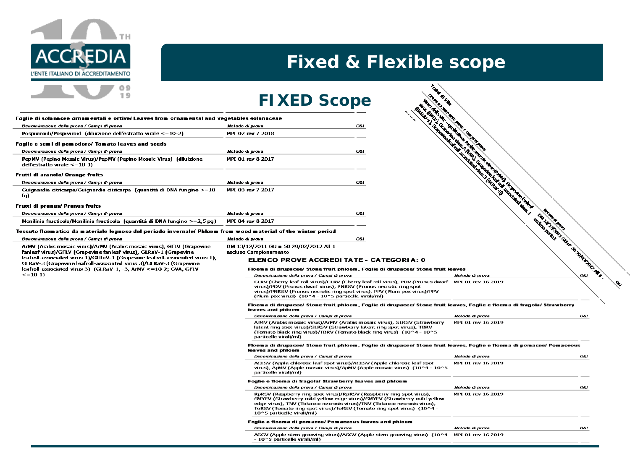

## **Fixed & Flexible scope**

Taby

**CALLES** 

## **FIXED Scope**

| Foglie di solanacee ornamentali e ortive/ Leaves from ornamental and vegetables solanaceae |      |
|--------------------------------------------------------------------------------------------|------|
| Metodo di prova                                                                            | OS I |
| MPI 02 rev 7 2018                                                                          |      |
|                                                                                            |      |
| Metodo di prova                                                                            | OS I |
| MPI 01 rev 8 2017                                                                          |      |
|                                                                                            |      |
| Metodo di prova                                                                            | OS I |
| MPL 03 rev 7 2017                                                                          |      |
|                                                                                            |      |
| Metodo di prova                                                                            | OLI. |
| MPI 04 rev 8 2017                                                                          |      |
|                                                                                            |      |



Denominazione della prova / Campi di prova ArMV (Arabis mosaic virus)/ArMV (Arabis mosaic virus), GFLV (Grapevine Fanleaf virus)/GFLV (Grapevine fanleaf virus), GLRaV-1 (Grapevine leafroll-associated virus 1)/GLRaV-1 (Grapevine leafroll-associated virus 1), GLRaV-3 (Grapevine leafroll-associated virus 3)/GLRaV-3 (Grapevine leafroll-associated virus 3) (GLRaV-1, -3, ArMV <= 10-2; GVA, GFLV  $\leq$  =10-1)

#### Metodo di prova DM 13/12/2011 GU n 50 29/02/2012 All 1 -

esduso Campionamento

#### ELENCO PROVE ACCREDI TATE - CATEGORIA: 0

#### Floema di drupacee/ Stone fruit phloem, Foglie di drupacee/ Stone fruit leaves

| wova                                                                                                                                                                                                 | OLI.                                                                                              |                 |               |
|------------------------------------------------------------------------------------------------------------------------------------------------------------------------------------------------------|---------------------------------------------------------------------------------------------------|-----------------|---------------|
| - 8 2017                                                                                                                                                                                             |                                                                                                   |                 |               |
| material of the winter period                                                                                                                                                                        |                                                                                                   |                 |               |
| wova                                                                                                                                                                                                 | OLI.                                                                                              |                 | <b>CELES</b>  |
| /2011 GU n 50 29/02/2012 All 1 -<br>ampionamento                                                                                                                                                     |                                                                                                   |                 | <b>WINTER</b> |
| <b>:LENCO PROVE ACCREDI TATE - CATEGORIA: 0</b>                                                                                                                                                      |                                                                                                   |                 |               |
| loema di drupacee/ Stone fruit phloem. Foglie di drupacee/ Stone fruit leaves                                                                                                                        |                                                                                                   |                 |               |
| Denominazione della prova / Campi di prova                                                                                                                                                           |                                                                                                   | Melodo di prova | OA I          |
| virus)/PDV (Prunus dwarf virus), PNRSV (Prunus necrotic ring spot<br>virus)/PNRSV (Prunus necrotic ring spot virus), PPV (Plum pox virus)/PPV<br>(Plum pox virus) (10^4 - 10^5 particelle virali/ml) | CLRV (Cherry leaf roll virus)/CLRV (Cherry leaf roll virus), PDV (Prunus dwarf MPI 01 rev 16 2019 |                 |               |
| loema di drumaree/ Stone fruit phloem. Foolie di drumaree/ Stone fruit leaves. Foolie e floema di francia/ Strawberry                                                                                |                                                                                                   |                 |               |

#### Floema di di one fruit leaves, Foglie e floema di fragola/ Strawberry stone fruit phioem . I leaves and phioem

| Denominazione della prova / Campi di prova                                                                                                                                                                                                                                                                                      | Melodo di prova    | O <sub>61</sub> |
|---------------------------------------------------------------------------------------------------------------------------------------------------------------------------------------------------------------------------------------------------------------------------------------------------------------------------------|--------------------|-----------------|
| AMV (Arabis mosaic virus)/ArMV (Arabis mosaic virus), SLRSV (Strawberry<br>latent ring spot virus)/SLRSV (Strawberry latent ring spot virus), TBRV<br>(Tomato black ring virus)/TBRV (Tomato black ring virus) (10^4 - 10^5<br>particelle virali/ml)                                                                            | MPI 01 rev 16 2019 |                 |
| Floema di drupacee/ Stone fruit phloem, Foglie di drupacee/ Stone fruit leaves, Foglie e floema di pomacee/ Pomaceous<br>leaves and phicem                                                                                                                                                                                      |                    |                 |
| Denominazione della prova / Campi di prova                                                                                                                                                                                                                                                                                      | Melodo di prova    | O <sub>61</sub> |
| ACLSV (Apple chlorotic leaf spot virus)/ACLSV (Apple chlorotic leaf spot<br>virus), ApMV (Apple mosaic virus)/ApMV (Apple mosaic virus) (10^4 - 10^5<br>particelle virali/ml)                                                                                                                                                   | MPI 01 rev 16 2019 |                 |
| Foglie e floema di fragola/ Strawberry leaves and phloem                                                                                                                                                                                                                                                                        |                    |                 |
| Denominazione della prova / Campi di prova                                                                                                                                                                                                                                                                                      | Metodo di prova    | O <sub>4</sub>  |
| RpRSV (Raspberry ring spot virus)/RpRSV (Raspberry ring spot virus),<br>SMYEV (Strawberry mild yellow edge virus)/SMYEV (Strawberry mild yellow<br>edge virus), TNV (Tobacco necrosis virus)/TNV (Tobacco necrosis virus),<br>ToRSV (Tomato ring spot virus)/ToRSV (Tomato ring spot virus) (10^4<br>10^5 particelle virali/ml) | MPI 01 rev 16 2019 |                 |
| Foglie e floema di pomacee/ Pomaceous leaves and phloem                                                                                                                                                                                                                                                                         |                    |                 |
| Denominazione della prova / Campi di prova                                                                                                                                                                                                                                                                                      | Melodo di prova    | O(1)            |
| ASGV (Apple stern grooving virus)/ASGV (Apple stern grooving virus) (10^4<br>- 10^5 particelle virali/ml)                                                                                                                                                                                                                       | MPI 01 rev 16 2019 |                 |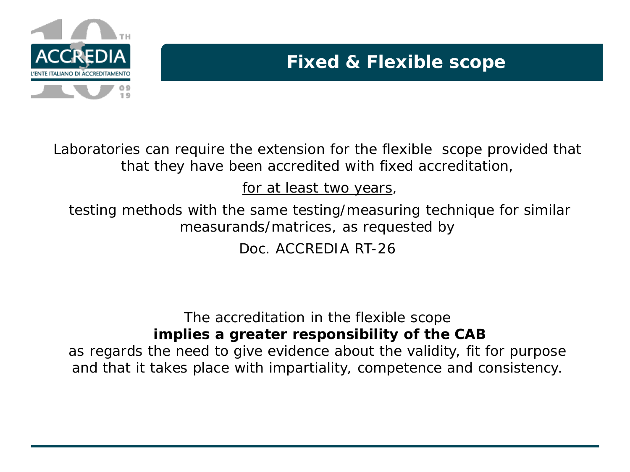

# **Fixed & Flexible scope**

Laboratories can require the extension for the flexible scope provided that that they have been accredited with fixed accreditation,

### for at least two years,

testing methods with the same testing/measuring technique for similar measurands/matrices, as requested by

Doc. ACCREDIA RT-26

#### The accreditation in the flexible scope *implies a greater responsibility of the CAB*

as regards the need to give evidence about the validity, fit for purpose and that it takes place with impartiality, competence and consistency.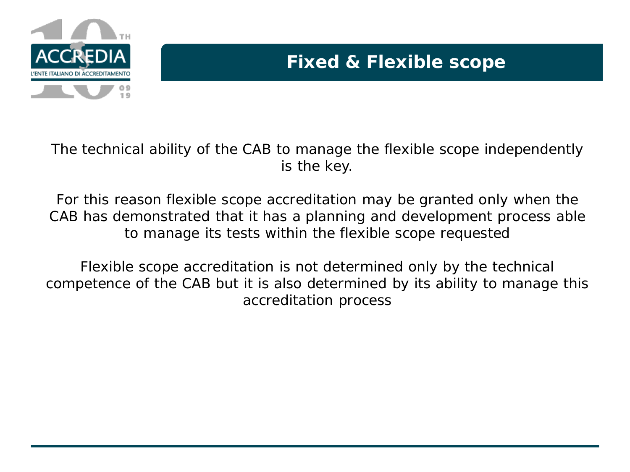

The technical ability of the CAB to manage the flexible scope independently is the key.

For this reason flexible scope accreditation may be granted only when the CAB has demonstrated that it has a planning and development process able to manage its tests within the flexible scope requested

Flexible scope accreditation is not determined only by the technical competence of the CAB but it is also determined by its ability to manage this accreditation process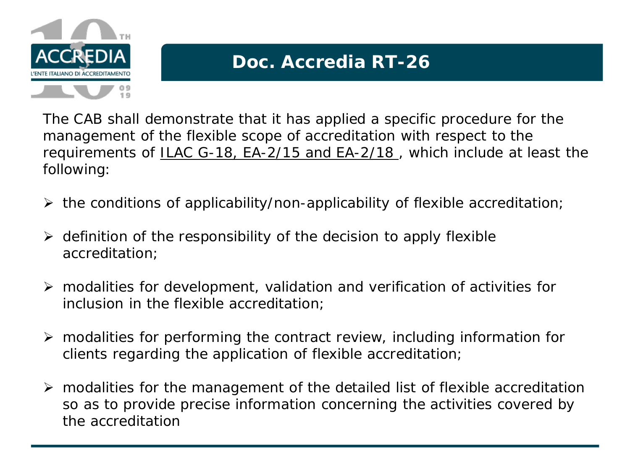

The CAB shall demonstrate that it has applied a specific procedure for the management of the flexible scope of accreditation with respect to the requirements of ILAC G-18, EA-2/15 and EA-2/18 , which include at least the following:

- $\triangleright$  the conditions of applicability/non-applicability of flexible accreditation;
- $\triangleright$  definition of the responsibility of the decision to apply flexible accreditation;
- modalities for development, validation and verification of activities for inclusion in the flexible accreditation;
- $\triangleright$  modalities for performing the contract review, including information for clients regarding the application of flexible accreditation;
- modalities for the management of the detailed list of flexible accreditation so as to provide precise information concerning the activities covered by the accreditation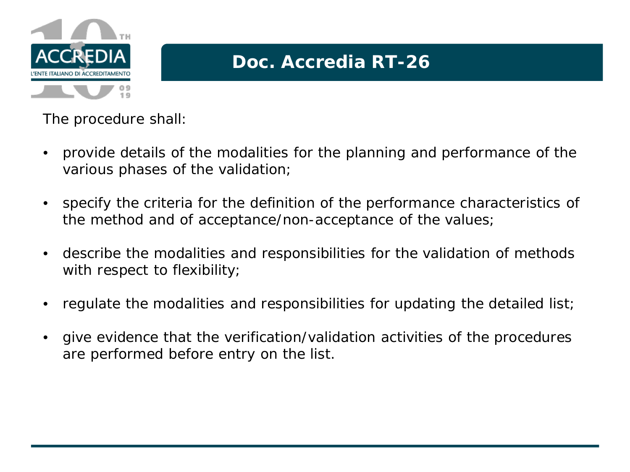

The procedure shall:

- provide details of the modalities for the planning and performance of the various phases of the validation;
- specify the criteria for the definition of the performance characteristics of the method and of acceptance/non-acceptance of the values;
- describe the modalities and responsibilities for the validation of methods with respect to flexibility;
- regulate the modalities and responsibilities for updating the detailed list;
- give evidence that the verification/validation activities of the procedures are performed before entry on the list.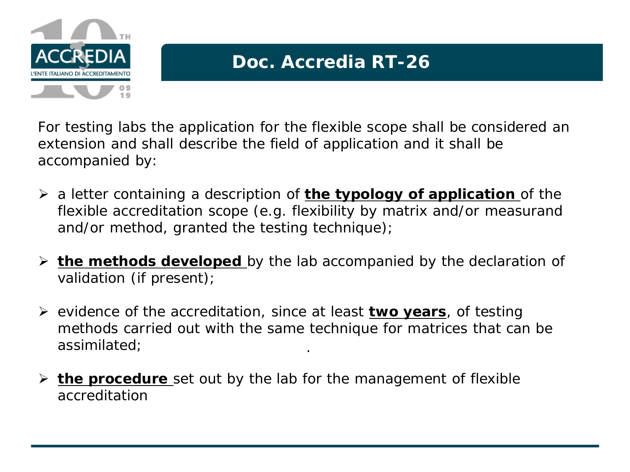

For testing labs the application for the flexible scope shall be considered an extension and shall describe the field of application and it shall be accompanied by:

- a letter containing a description of **the typology of application** of the flexible accreditation scope (e.g. flexibility by matrix and/or measurand and/or method, granted the testing technique);
- **the methods developed** by the lab accompanied by the declaration of validation (if present);
- evidence of the accreditation, since at least **two years**, of testing methods carried out with the same technique for matrices that can be assimilated; .
- **the procedure** set out by the lab for the management of flexible accreditation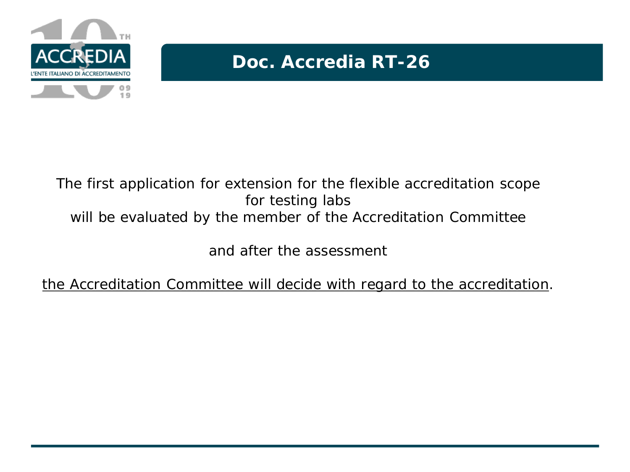

### The first application for extension for the flexible accreditation scope for testing labs will be evaluated by the member of the Accreditation Committee

and after the assessment

the Accreditation Committee will decide with regard to the accreditation.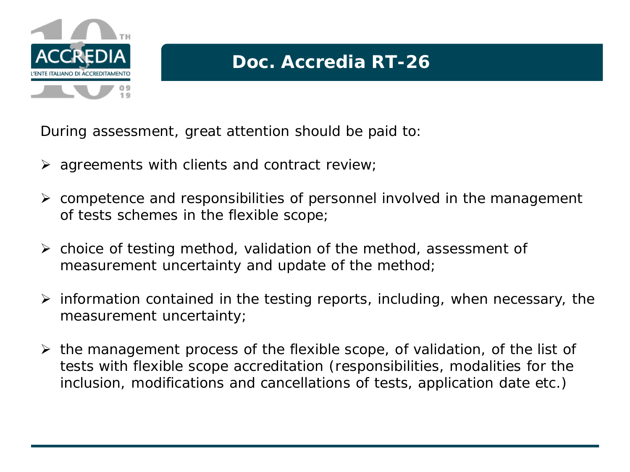

During assessment, great attention should be paid to:

- $\triangleright$  agreements with clients and contract review;
- $\triangleright$  competence and responsibilities of personnel involved in the management of tests schemes in the flexible scope;
- $\triangleright$  choice of testing method, validation of the method, assessment of measurement uncertainty and update of the method;
- $\triangleright$  information contained in the testing reports, including, when necessary, the measurement uncertainty;
- $\triangleright$  the management process of the flexible scope, of validation, of the list of tests with flexible scope accreditation (responsibilities, modalities for the inclusion, modifications and cancellations of tests, application date etc.)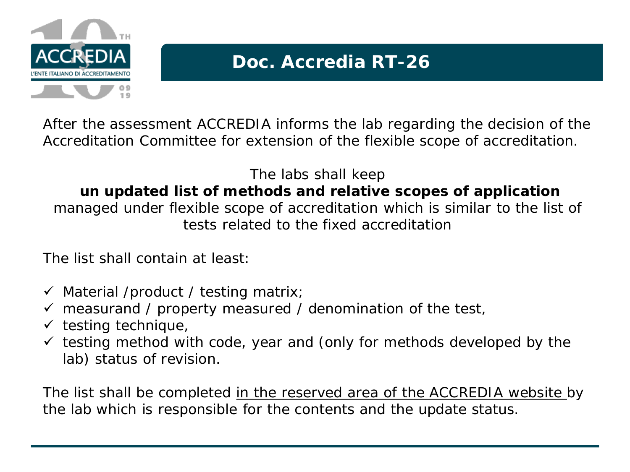

After the assessment ACCREDIA informs the lab regarding the decision of the Accreditation Committee for extension of the flexible scope of accreditation.

The labs shall keep *un updated list of methods and relative scopes of application*  managed under flexible scope of accreditation which is similar to the list of tests related to the fixed accreditation

The list shall contain at least:

- $\checkmark$  Material /product / testing matrix;
- $\checkmark$  measurand / property measured / denomination of the test,
- $\checkmark$  testing technique,
- $\checkmark$  testing method with code, year and (only for methods developed by the lab) status of revision.

The list shall be completed in the reserved area of the ACCREDIA website by the lab which is responsible for the contents and the update status.